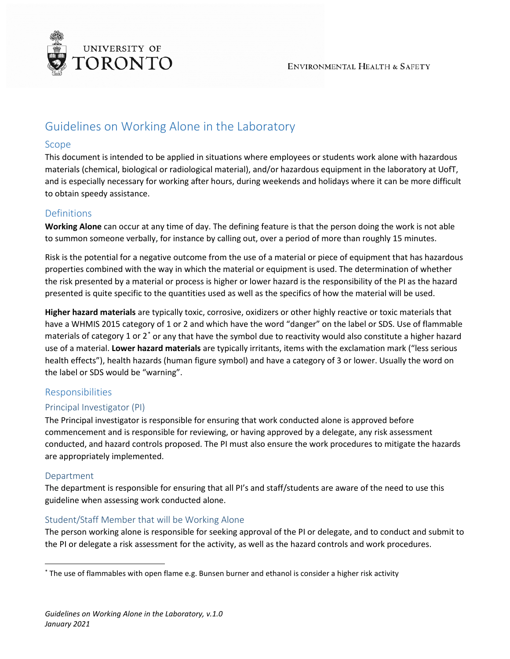

# Guidelines on Working Alone in the Laboratory

#### Scope

This document is intended to be applied in situations where employees or students work alone with hazardous materials (chemical, biological or radiological material), and/or hazardous equipment in the laboratory at UofT, and is especially necessary for working after hours, during weekends and holidays where it can be more difficult to obtain speedy assistance.

### Definitions

**Working Alone** can occur at any time of day. The defining feature is that the person doing the work is not able to summon someone verbally, for instance by calling out, over a period of more than roughly 15 minutes.

Risk is the potential for a negative outcome from the use of a material or piece of equipment that has hazardous properties combined with the way in which the material or equipment is used. The determination of whether the risk presented by a material or process is higher or lower hazard is the responsibility of the PI as the hazard presented is quite specific to the quantities used as well as the specifics of how the material will be used.

**Higher hazard materials** are typically toxic, corrosive, oxidizers or other highly reactive or toxic materials that have a WHMIS 2015 category of 1 or 2 and which have the word "danger" on the label or SDS. Use of flammable materials of category 1 or 2[\\*](#page-0-0) or any that have the symbol due to reactivity would also constitute a higher hazard use of a material. **Lower hazard materials** are typically irritants, items with the exclamation mark ("less serious health effects"), health hazards (human figure symbol) and have a category of 3 or lower. Usually the word on the label or SDS would be "warning".

### Responsibilities

### Principal Investigator (PI)

The Principal investigator is responsible for ensuring that work conducted alone is approved before commencement and is responsible for reviewing, or having approved by a delegate, any risk assessment conducted, and hazard controls proposed. The PI must also ensure the work procedures to mitigate the hazards are appropriately implemented.

### Department

The department is responsible for ensuring that all PI's and staff/students are aware of the need to use this guideline when assessing work conducted alone.

### Student/Staff Member that will be Working Alone

The person working alone is responsible for seeking approval of the PI or delegate, and to conduct and submit to the PI or delegate a risk assessment for the activity, as well as the hazard controls and work procedures.

<span id="page-0-0"></span> <sup>\*</sup> The use of flammables with open flame e.g. Bunsen burner and ethanol is consider a higher risk activity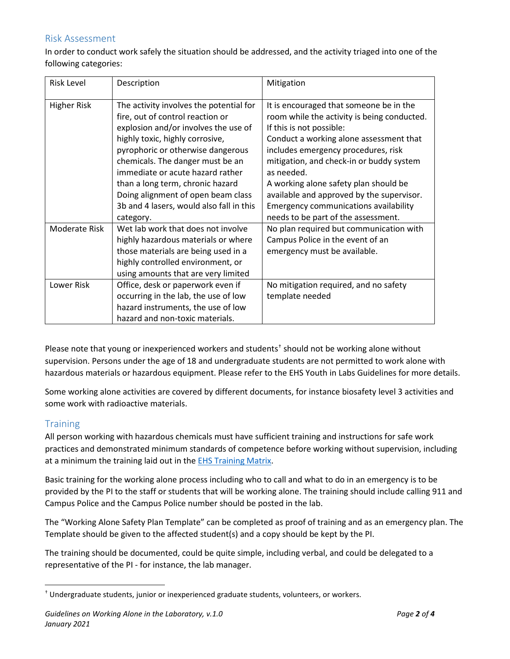### Risk Assessment

In order to conduct work safely the situation should be addressed, and the activity triaged into one of the following categories:

| <b>Risk Level</b>  | Description                                                                                                                                                                                                                                                                                                                                                                                            | Mitigation                                                                                                                                                                                                                                                                                                                                                                                                                                  |
|--------------------|--------------------------------------------------------------------------------------------------------------------------------------------------------------------------------------------------------------------------------------------------------------------------------------------------------------------------------------------------------------------------------------------------------|---------------------------------------------------------------------------------------------------------------------------------------------------------------------------------------------------------------------------------------------------------------------------------------------------------------------------------------------------------------------------------------------------------------------------------------------|
| <b>Higher Risk</b> | The activity involves the potential for<br>fire, out of control reaction or<br>explosion and/or involves the use of<br>highly toxic, highly corrosive,<br>pyrophoric or otherwise dangerous<br>chemicals. The danger must be an<br>immediate or acute hazard rather<br>than a long term, chronic hazard<br>Doing alignment of open beam class<br>3b and 4 lasers, would also fall in this<br>category. | It is encouraged that someone be in the<br>room while the activity is being conducted.<br>If this is not possible:<br>Conduct a working alone assessment that<br>includes emergency procedures, risk<br>mitigation, and check-in or buddy system<br>as needed.<br>A working alone safety plan should be<br>available and approved by the supervisor.<br><b>Emergency communications availability</b><br>needs to be part of the assessment. |
| Moderate Risk      | Wet lab work that does not involve<br>highly hazardous materials or where<br>those materials are being used in a<br>highly controlled environment, or<br>using amounts that are very limited                                                                                                                                                                                                           | No plan required but communication with<br>Campus Police in the event of an<br>emergency must be available.                                                                                                                                                                                                                                                                                                                                 |
| Lower Risk         | Office, desk or paperwork even if<br>occurring in the lab, the use of low<br>hazard instruments, the use of low<br>hazard and non-toxic materials.                                                                                                                                                                                                                                                     | No mitigation required, and no safety<br>template needed                                                                                                                                                                                                                                                                                                                                                                                    |

Please note that young or inexperienced workers and student[s†](#page-1-0) should not be working alone without supervision. Persons under the age of 18 and undergraduate students are not permitted to work alone with hazardous materials or hazardous equipment. Please refer to the EHS Youth in Labs Guidelines for more details.

Some working alone activities are covered by different documents, for instance biosafety level 3 activities and some work with radioactive materials.

### **Training**

All person working with hazardous chemicals must have sufficient training and instructions for safe work practices and demonstrated minimum standards of competence before working without supervision, including at a minimum the training laid out in the **EHS Training Matrix**.

Basic training for the working alone process including who to call and what to do in an emergency is to be provided by the PI to the staff or students that will be working alone. The training should include calling 911 and Campus Police and the Campus Police number should be posted in the lab.

The "Working Alone Safety Plan Template" can be completed as proof of training and as an emergency plan. The Template should be given to the affected student(s) and a copy should be kept by the PI.

The training should be documented, could be quite simple, including verbal, and could be delegated to a representative of the PI - for instance, the lab manager.

<span id="page-1-0"></span> <sup>†</sup> Undergraduate students, junior or inexperienced graduate students, volunteers, or workers.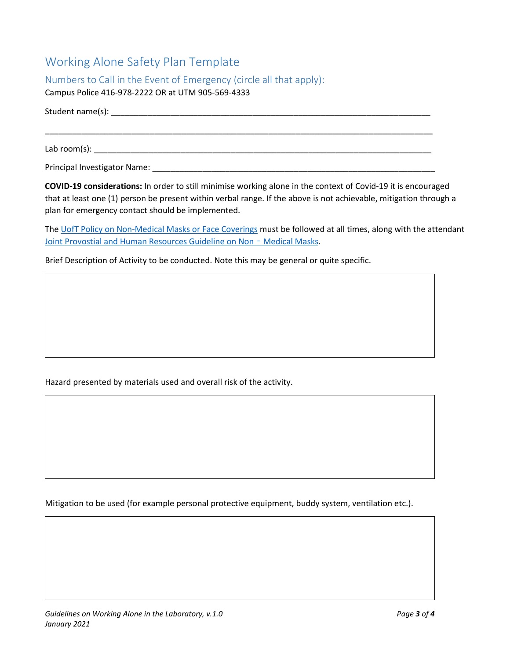# Working Alone Safety Plan Template

Numbers to Call in the Event of Emergency (circle all that apply):

Campus Police 416-978-2222 OR at UTM 905-569-4333

Student name(s): \_\_\_\_\_\_\_\_\_\_\_\_\_\_\_\_\_\_\_\_\_\_\_\_\_\_\_\_\_\_\_\_\_\_\_\_\_\_\_\_\_\_\_\_\_\_\_\_\_\_\_\_\_\_\_\_\_\_\_\_\_\_\_\_\_\_\_\_\_\_

\_\_\_\_\_\_\_\_\_\_\_\_\_\_\_\_\_\_\_\_\_\_\_\_\_\_\_\_\_\_\_\_\_\_\_\_\_\_\_\_\_\_\_\_\_\_\_\_\_\_\_\_\_\_\_\_\_\_\_\_\_\_\_\_\_\_\_\_\_\_\_\_\_\_\_\_\_\_\_\_\_\_\_\_\_

Lab room(s): \_\_\_\_\_\_\_\_\_\_\_\_\_\_\_\_\_\_\_\_\_\_\_\_\_\_\_\_\_\_\_\_\_\_\_\_\_\_\_\_\_\_\_\_\_\_\_\_\_\_\_\_\_\_\_\_\_\_\_\_\_\_\_\_\_\_\_\_\_\_\_\_\_\_

Principal Investigator Name: \_\_\_\_\_\_\_\_\_\_\_\_\_\_\_\_\_\_\_\_\_\_\_\_\_\_\_\_\_\_\_\_\_\_\_\_\_\_\_\_\_\_\_\_\_\_\_\_\_\_\_\_\_\_\_\_\_\_\_\_\_\_

**COVID-19 considerations:** In order to still minimise working alone in the context of Covid-19 it is encouraged that at least one (1) person be present within verbal range. If the above is not achievable, mitigation through a plan for emergency contact should be implemented.

The [UofT Policy on Non-Medical Masks or Face Coverings](https://governingcouncil.utoronto.ca/secretariat/policies/non-medical-masks-or-face-coverings-policy) must be followed at all times, along with the attendant [Joint Provostial and Human Resources Guideline on Non](https://www.provost.utoronto.ca/planning-policy/joint-provostial-and-human-resources-guideline-on-nonmedical-masks-at-the-university-of-toronto/) - Medical Masks.

Brief Description of Activity to be conducted. Note this may be general or quite specific.

Hazard presented by materials used and overall risk of the activity.

Mitigation to be used (for example personal protective equipment, buddy system, ventilation etc.).